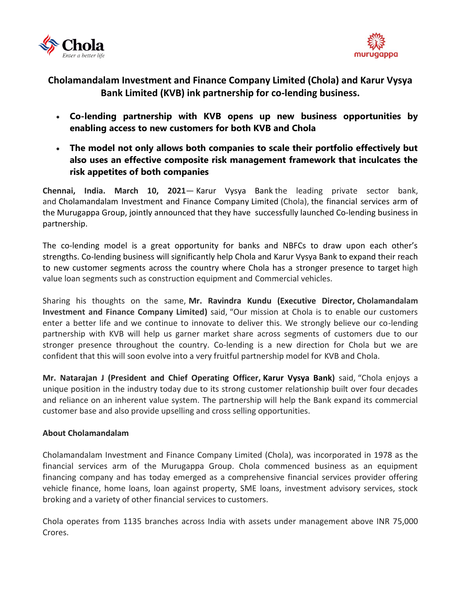



## **Cholamandalam Investment and Finance Company Limited (Chola) and Karur Vysya Bank Limited (KVB) ink partnership for co-lending business.**

- **Co-lending partnership with KVB opens up new business opportunities by enabling access to new customers for both KVB and Chola**
- **The model not only allows both companies to scale their portfolio effectively but also uses an effective composite risk management framework that inculcates the risk appetites of both companies**

**Chennai, India. March 10, 2021**— Karur Vysya Bank the leading private sector bank, and [Cholamandalam Investment and Finance Company](https://www.cholamandalam.com/default.aspx) Limited (Chola), the financial services arm of the Murugappa Group, jointly announced that they have successfully launched Co-lending business in partnership.

The co-lending model is a great opportunity for banks and NBFCs to draw upon each other's strengths. Co-lending business will significantly help Chola and Karur Vysya Bank to expand their reach to new customer segments across the country where Chola has a stronger presence to target high value loan segments such as construction equipment and Commercial vehicles.

Sharing his thoughts on the same, **Mr. Ravindra Kundu (Executive Director, Cholamandalam Investment and Finance Company Limited)** said, "Our mission at Chola is to enable our customers enter a better life and we continue to innovate to deliver this. We strongly believe our co-lending partnership with KVB will help us garner market share across segments of customers due to our stronger presence throughout the country. Co-lending is a new direction for Chola but we are confident that this will soon evolve into a very fruitful partnership model for KVB and Chola.

**Mr. Natarajan J (President and Chief Operating Officer, Karur Vysya Bank)** said, "Chola enjoys a unique position in the industry today due to its strong customer relationship built over four decades and reliance on an inherent value system. The partnership will help the Bank expand its commercial customer base and also provide upselling and cross selling opportunities.

## **About Cholamandalam**

Cholamandalam Investment and Finance Company Limited (Chola), was incorporated in 1978 as the financial services arm of the Murugappa Group. Chola commenced business as an equipment financing company and has today emerged as a comprehensive financial services provider offering vehicle finance, home loans, loan against property, SME loans, investment advisory services, stock broking and a variety of other financial services to customers.

Chola operates from 1135 branches across India with assets under management above INR 75,000 Crores.